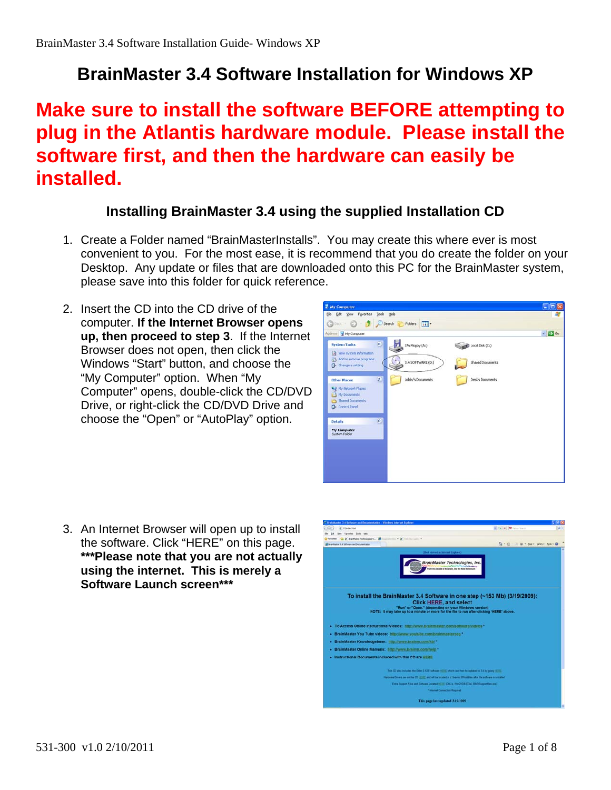# **BrainMaster 3.4 Software Installation for Windows XP**

# **Make sure to install the software BEFORE attempting to plug in the Atlantis hardware module. Please install the software first, and then the hardware can easily be installed.**

### **Installing BrainMaster 3.4 using the supplied Installation CD**

- 1. Create a Folder named "BrainMasterInstalls". You may create this where ever is most convenient to you. For the most ease, it is recommend that you do create the folder on your Desktop. Any update or files that are downloaded onto this PC for the BrainMaster system, please save into this folder for quick reference.
- 2. Insert the CD into the CD drive of the computer. **If the Internet Browser opens up, then proceed to step 3**. If the Internet Browser does not open, then click the Windows "Start" button, and choose the "My Computer" option. When "My Computer" opens, double-click the CD/DVD Drive, or right-click the CD/DVD Drive and choose the "Open" or "AutoPlay" option.



3. An Internet Browser will open up to install the software. Click "HERE" on this page. **\*\*\*Please note that you are not actually using the internet. This is merely a Software Launch screen\*\*\***

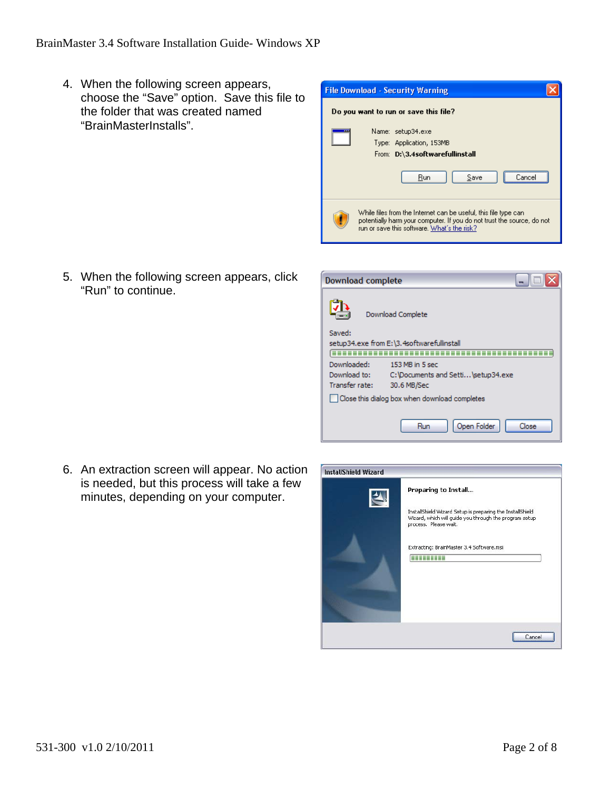4. When the following screen appears, choose the "Save" option. Save this file to the folder that was created named "BrainMasterInstalls".

5. When the following screen appears, click "Run" to continue.



| Download complete                             |                                            |  |
|-----------------------------------------------|--------------------------------------------|--|
|                                               | Download Complete                          |  |
| Saved:                                        |                                            |  |
|                                               | setup34.exe from E:\3.4softwarefullinstall |  |
|                                               |                                            |  |
| Downloaded:                                   | 153 MB in 5 sec                            |  |
| Download to:                                  | C: Documents and Setti \setup34.exe        |  |
| Transfer rate:                                | 30.6 MB/Sec                                |  |
| Close this dialog box when download completes |                                            |  |
|                                               |                                            |  |
|                                               | Open Folder<br>Close<br>Run                |  |

6. An extraction screen will appear. No action is needed, but this process will take a few minutes, depending on your computer.

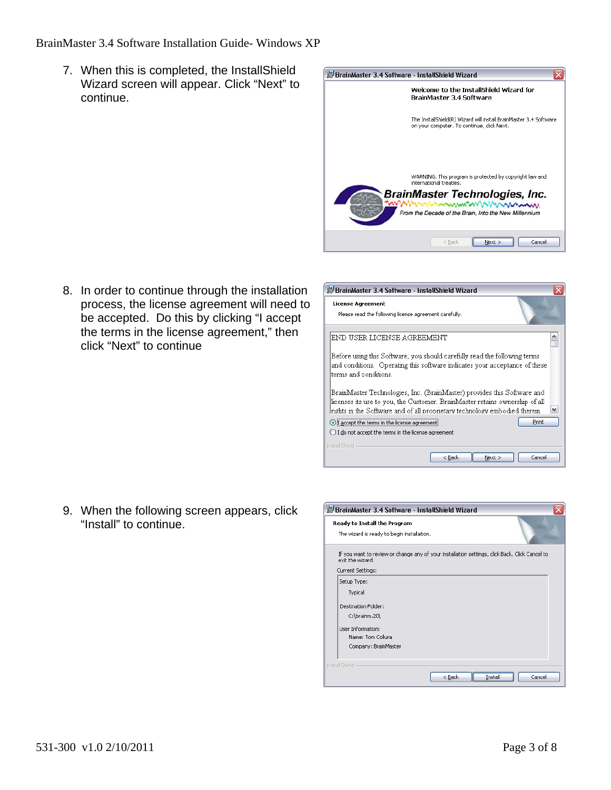#### BrainMaster 3.4 Software Installation Guide- Windows XP

7. When this is completed, the InstallShield Wizard screen will appear. Click "Next" to continue.



8. In order to continue through the installation process, the license agreement will need to be accepted. Do this by clicking "I accept the terms in the license agreement," then click "Next" to continue

| <b>License Agreement</b><br>Please read the following license agreement carefully.                                                                                                                                                   |
|--------------------------------------------------------------------------------------------------------------------------------------------------------------------------------------------------------------------------------------|
| END USER LICENSE AGREEMENT                                                                                                                                                                                                           |
| Before using this Software, you should carefully read the following terms<br>and conditions. Operating this software indicates your acceptance of these<br>terms and conditions.                                                     |
| BrainMaster Technologies, Inc. (BrainMaster) provides this Software and<br>licenses its use to you, the Customer. BrainMaster retains ownership of all<br>rights in the Software and of all proprietary technology embodied therein. |
| Print<br>I accept the terms in the license agreement<br>I do not accept the terms in the license agreement                                                                                                                           |
| Install5hield<br>$Next$ ><br>Cancel<br>< Back                                                                                                                                                                                        |

9. When the following screen appears, click "Install" to continue.

| BrainMaster 3.4 Software - InstallShield Wizard                                                                                         |
|-----------------------------------------------------------------------------------------------------------------------------------------|
| Ready to Install the Program<br>The wizard is ready to begin installation.                                                              |
| If you want to review or change any of your installation settings, click Back. Click Cancel to<br>exit the wizard.<br>Current Settings: |
| Setup Type:<br>Typical                                                                                                                  |
| <b>Destination Folder:</b><br>C:\brainm.20\                                                                                             |
| <b>Liser Information:</b><br>Name: Tom Collura<br>Company: BrainMaster                                                                  |
| <b>InstallShield</b><br>Cancel<br>$<$ Back<br>Install                                                                                   |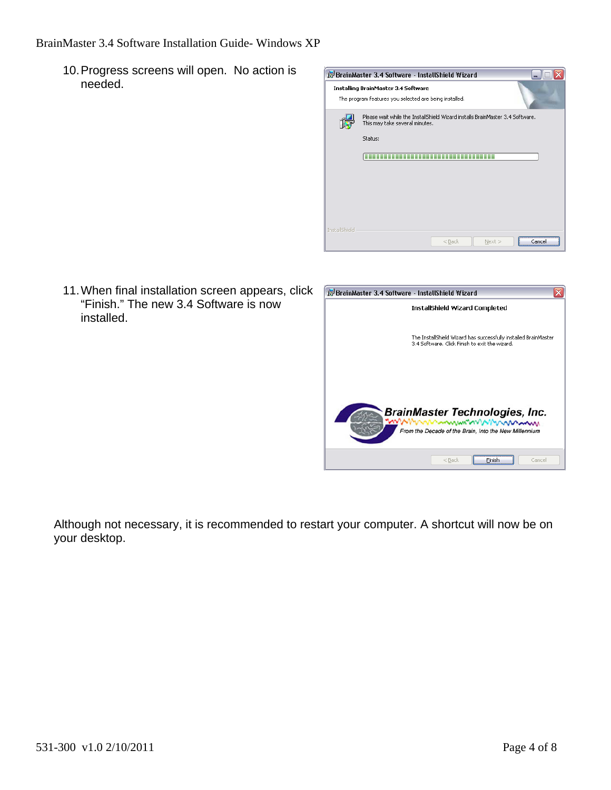10. Progress screens will open. No action is needed.

|                      | BrainMaster 3.4 Software - InstallShield Wizard                                                                 |
|----------------------|-----------------------------------------------------------------------------------------------------------------|
|                      | Installing BrainMaster 3.4 Software<br>The program features you selected are being installed.                   |
|                      | Please wait while the InstallShield Wizard installs BrainMaster 3.4 Software.<br>This may take several minutes. |
|                      | Status:                                                                                                         |
|                      |                                                                                                                 |
|                      |                                                                                                                 |
| <b>InstallShield</b> |                                                                                                                 |
|                      | $<$ Back<br>$Next$ ><br>Lance                                                                                   |

11. When final installation screen appears, click "Finish." The new 3.4 Software is now installed.



Although not necessary, it is recommended to restart your computer. A shortcut will now be on your desktop.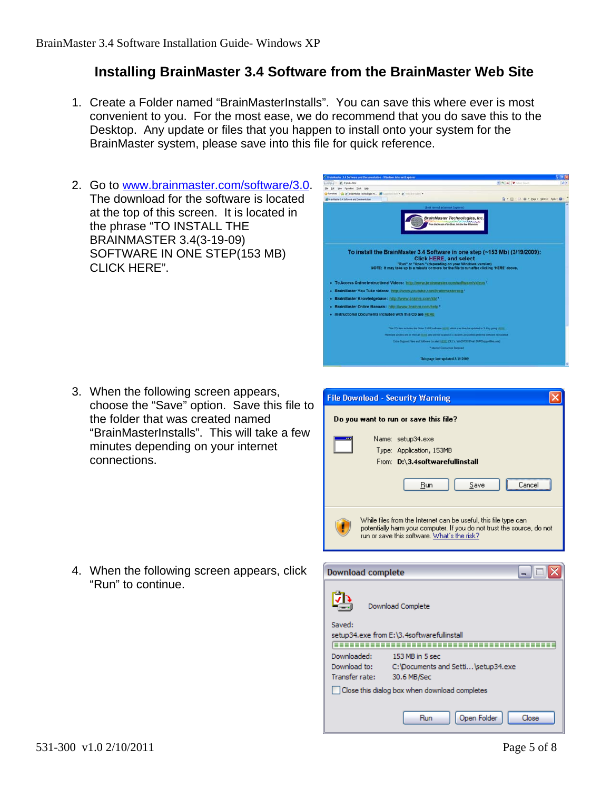# **Installing BrainMaster 3.4 Software from the BrainMaster Web Site**

- 1. Create a Folder named "BrainMasterInstalls". You can save this where ever is most convenient to you. For the most ease, we do recommend that you do save this to the Desktop. Any update or files that you happen to install onto your system for the BrainMaster system, please save into this file for quick reference.
- 2. Go to www.brainmaster.com/software/3.0. The download for the software is located at the top of this screen. It is located in the phrase "TO INSTALL THE BRAINMASTER 3.4(3-19-09) SOFTWARE IN ONE STEP(153 MB) CLICK HERE".

3. When the following screen appears, choose the "Save" option. Save this file to the folder that was created named "BrainMasterInstalls". This will take a few minutes depending on your internet connections.

4. When the following screen appears, click "Run" to continue.



| <b>File Download - Security Warning</b>                                                                                                                                                  |
|------------------------------------------------------------------------------------------------------------------------------------------------------------------------------------------|
| Do you want to run or save this file?                                                                                                                                                    |
| <br>Name: setup34.exe<br>Type: Application, 153MB<br>From: D:\3.4softwarefullinstall<br>Save<br>Run<br>Cancel                                                                            |
| While files from the Internet can be useful, this file type can<br>potentially harm your computer. If you do not trust the source, do not<br>run or save this software. What's the risk? |

| Download complete                             |                                            |  |
|-----------------------------------------------|--------------------------------------------|--|
|                                               | Download Complete                          |  |
| Saved:                                        |                                            |  |
|                                               | setup34.exe from E:\3.4softwarefullinstall |  |
| Downloaded:                                   | 153 MB in 5 sec                            |  |
| Download to:                                  | C:\Documents and Setti\setup34.exe         |  |
| Transfer rate:                                | 30.6 MB/Sec                                |  |
| Close this dialog box when download completes |                                            |  |
|                                               |                                            |  |
|                                               | Open Folder<br>Close<br>Run                |  |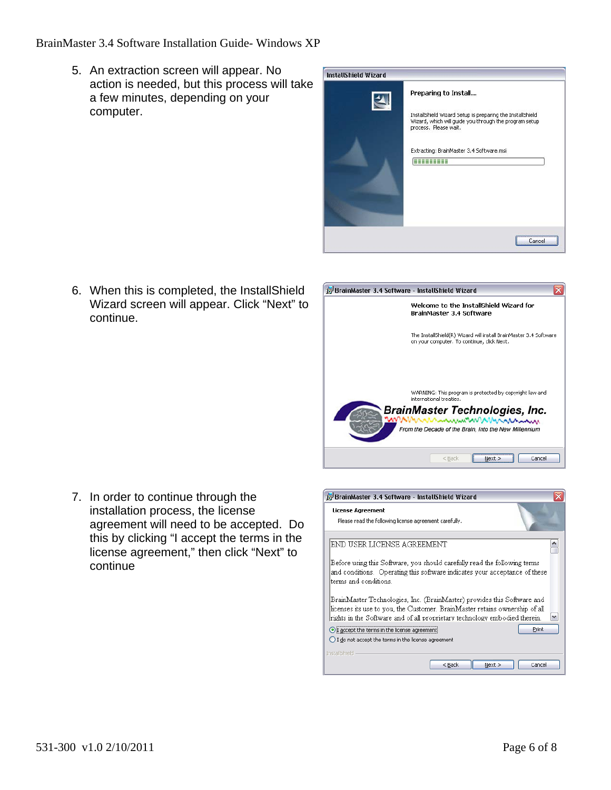BrainMaster 3.4 Software Installation Guide- Windows XP

5. An extraction screen will appear. No action is needed, but this process will take a few minutes, depending on your computer.

| InstallShield Wizard |                                                                                                                                              |
|----------------------|----------------------------------------------------------------------------------------------------------------------------------------------|
|                      | Preparing to Install                                                                                                                         |
|                      | InstallShield Wizard Setup is preparing the InstallShield<br>Wizard, which will guide you through the program setup<br>process. Please wait. |
|                      | Extracting: BrainMaster 3.4 Software.msi<br>---                                                                                              |
|                      |                                                                                                                                              |
|                      |                                                                                                                                              |
|                      | Cancel                                                                                                                                       |

6. When this is completed, the InstallShield Wizard screen will appear. Click "Next" to continue.



7. In order to continue through the installation process, the license agreement will need to be accepted. Do this by clicking "I accept the terms in the license agreement," then click "Next" to continue

| BrainMaster 3.4 Software - InstallShield Wizard                                                                                                                                                                                      |  |
|--------------------------------------------------------------------------------------------------------------------------------------------------------------------------------------------------------------------------------------|--|
| <b>License Agreement</b><br>Please read the following license agreement carefully.                                                                                                                                                   |  |
| END USER LICENSE AGREEMENT                                                                                                                                                                                                           |  |
| Before using this Software, you should carefully read the following terms<br>and conditions. Operating this software indicates your acceptance of these<br>terms and conditions.                                                     |  |
| BrainMaster Technologies, Inc. (BrainMaster) provides this Software and<br>licenses its use to you, the Customer. BrainMaster retains ownership of all<br>rights in the Software and of all proprietary technology embodied therein. |  |
| Print<br>I accept the terms in the license agreement!<br>I do not accept the terms in the license agreement                                                                                                                          |  |
| <b>InstallShield</b><br>$<$ Back<br>Cancel<br>Next                                                                                                                                                                                   |  |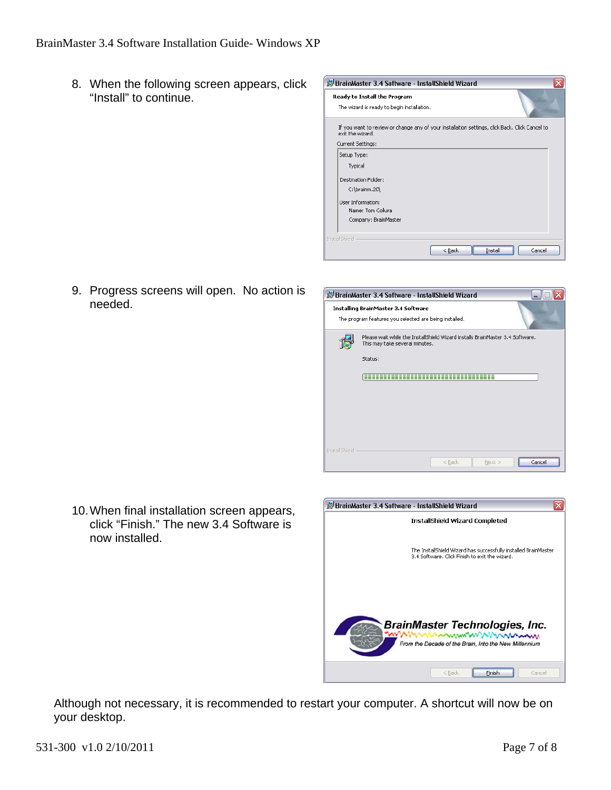8. When the following screen appears, click "Install" to continue.

| BrainMaster 3.4 Software - InstallShield Wizard                                                                                         |  |
|-----------------------------------------------------------------------------------------------------------------------------------------|--|
| Ready to Install the Program<br>The wizard is ready to begin installation.                                                              |  |
| If you want to review or change any of your installation settings, click Back. Click Cancel to<br>exit the wizard.<br>Current Settings: |  |
| Setup Type:                                                                                                                             |  |
| Typical                                                                                                                                 |  |
| <b>Destination Folder:</b>                                                                                                              |  |
| C:\brainm.20\                                                                                                                           |  |
| <b>Liser Information:</b>                                                                                                               |  |
| Name: Tom Collura                                                                                                                       |  |
| Company: BrainMaster                                                                                                                    |  |
|                                                                                                                                         |  |
| <b>InstallShield</b>                                                                                                                    |  |
| Cancel<br>$<$ Back<br>Install                                                                                                           |  |

9. Progress screens will open. No action is needed.



10. When final installation screen appears, click "Finish." The new 3.4 Software is now installed.



Although not necessary, it is recommended to restart your computer. A shortcut will now be on your desktop.